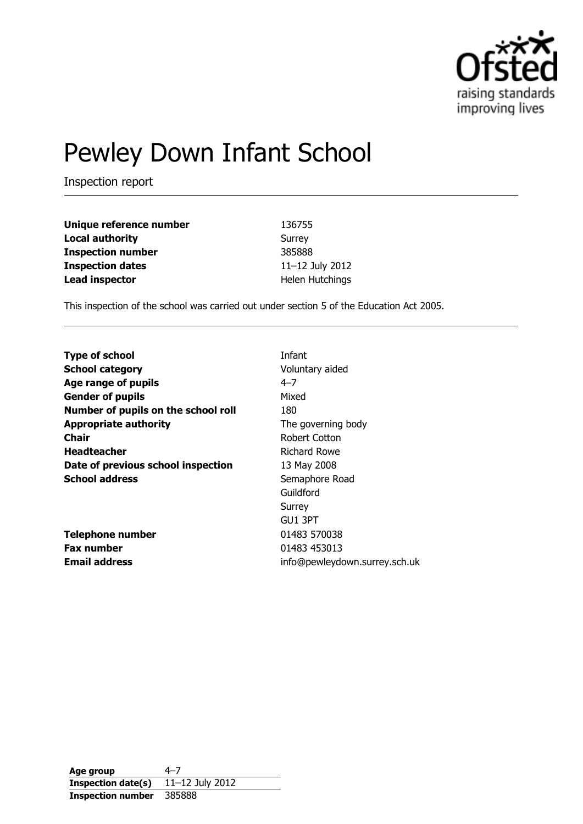

# Pewley Down Infant School

Inspection report

| Unique reference number  | 136755          |
|--------------------------|-----------------|
| <b>Local authority</b>   | Surrey          |
| <b>Inspection number</b> | 385888          |
| <b>Inspection dates</b>  | 11-12 July 2012 |
| <b>Lead inspector</b>    | Helen Hutchings |

This inspection of the school was carried out under section 5 of the Education Act 2005.

| <b>Type of school</b>               | Infant                        |
|-------------------------------------|-------------------------------|
| <b>School category</b>              | Voluntary aided               |
| Age range of pupils                 | $4 - 7$                       |
| <b>Gender of pupils</b>             | Mixed                         |
| Number of pupils on the school roll | 180                           |
| <b>Appropriate authority</b>        | The governing body            |
| <b>Chair</b>                        | Robert Cotton                 |
| <b>Headteacher</b>                  | <b>Richard Rowe</b>           |
| Date of previous school inspection  | 13 May 2008                   |
| <b>School address</b>               | Semaphore Road                |
|                                     | Guildford                     |
|                                     | Surrey                        |
|                                     | GU1 3PT                       |
| <b>Telephone number</b>             | 01483 570038                  |
| <b>Fax number</b>                   | 01483 453013                  |
| <b>Email address</b>                | info@pewleydown.surrey.sch.uk |

Age group 4–7<br> **Inspection date(s)** 11–12 July 2012 **Inspection date(s) Inspection number** 385888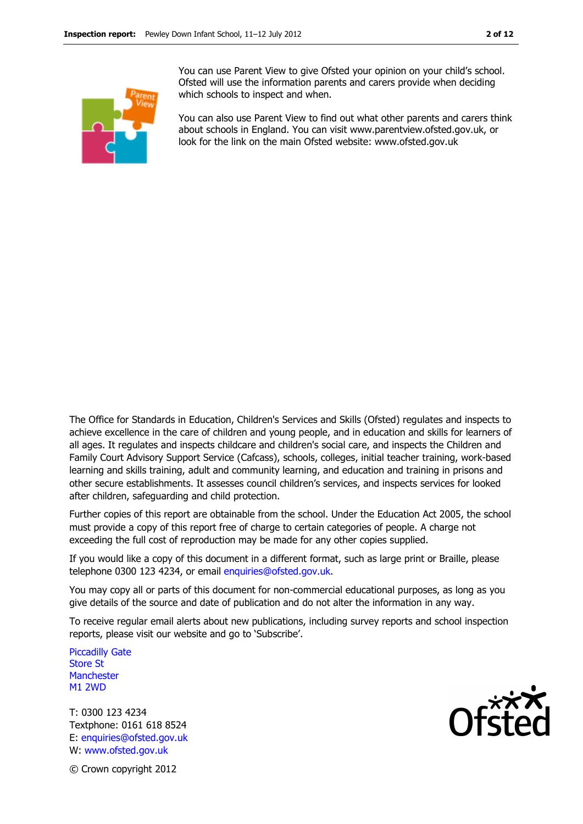You can use Parent View to give Ofsted your opinion on your child's school. Ofsted will use the information parents and carers provide when deciding which schools to inspect and when.

You can also use Parent View to find out what other parents and carers think about schools in England. You can visit www.parentview.ofsted.gov.uk, or look for the link on the main Ofsted website: www.ofsted.gov.uk

The Office for Standards in Education, Children's Services and Skills (Ofsted) regulates and inspects to achieve excellence in the care of children and young people, and in education and skills for learners of all ages. It regulates and inspects childcare and children's social care, and inspects the Children and Family Court Advisory Support Service (Cafcass), schools, colleges, initial teacher training, work-based learning and skills training, adult and community learning, and education and training in prisons and other secure establishments. It assesses council children's services, and inspects services for looked after children, safeguarding and child protection.

Further copies of this report are obtainable from the school. Under the Education Act 2005, the school must provide a copy of this report free of charge to certain categories of people. A charge not exceeding the full cost of reproduction may be made for any other copies supplied.

If you would like a copy of this document in a different format, such as large print or Braille, please telephone 0300 123 4234, or email enquiries@ofsted.gov.uk.

You may copy all or parts of this document for non-commercial educational purposes, as long as you give details of the source and date of publication and do not alter the information in any way.

To receive regular email alerts about new publications, including survey reports and school inspection reports, please visit our website and go to 'Subscribe'.

Piccadilly Gate Store St **Manchester** M1 2WD

T: 0300 123 4234 Textphone: 0161 618 8524 E: enquiries@ofsted.gov.uk W: www.ofsted.gov.uk



© Crown copyright 2012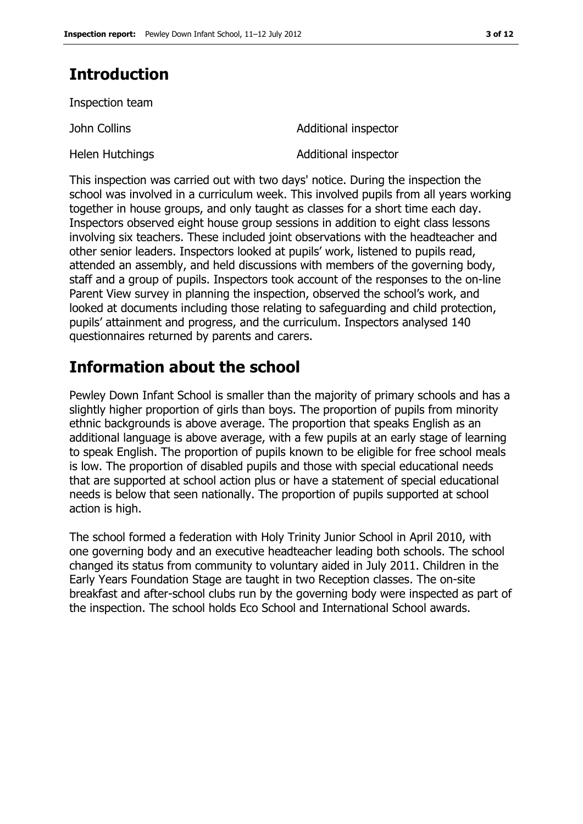# **Introduction**

Inspection team

Helen Hutchings **Additional inspector** 

John Collins **Additional inspector** 

This inspection was carried out with two days' notice. During the inspection the school was involved in a curriculum week. This involved pupils from all years working together in house groups, and only taught as classes for a short time each day. Inspectors observed eight house group sessions in addition to eight class lessons involving six teachers. These included joint observations with the headteacher and other senior leaders. Inspectors looked at pupils' work, listened to pupils read, attended an assembly, and held discussions with members of the governing body, staff and a group of pupils. Inspectors took account of the responses to the on-line Parent View survey in planning the inspection, observed the school's work, and looked at documents including those relating to safeguarding and child protection, pupils' attainment and progress, and the curriculum. Inspectors analysed 140 questionnaires returned by parents and carers.

## **Information about the school**

Pewley Down Infant School is smaller than the majority of primary schools and has a slightly higher proportion of girls than boys. The proportion of pupils from minority ethnic backgrounds is above average. The proportion that speaks English as an additional language is above average, with a few pupils at an early stage of learning to speak English. The proportion of pupils known to be eligible for free school meals is low. The proportion of disabled pupils and those with special educational needs that are supported at school action plus or have a statement of special educational needs is below that seen nationally. The proportion of pupils supported at school action is high.

The school formed a federation with Holy Trinity Junior School in April 2010, with one governing body and an executive headteacher leading both schools. The school changed its status from community to voluntary aided in July 2011. Children in the Early Years Foundation Stage are taught in two Reception classes. The on-site breakfast and after-school clubs run by the governing body were inspected as part of the inspection. The school holds Eco School and International School awards.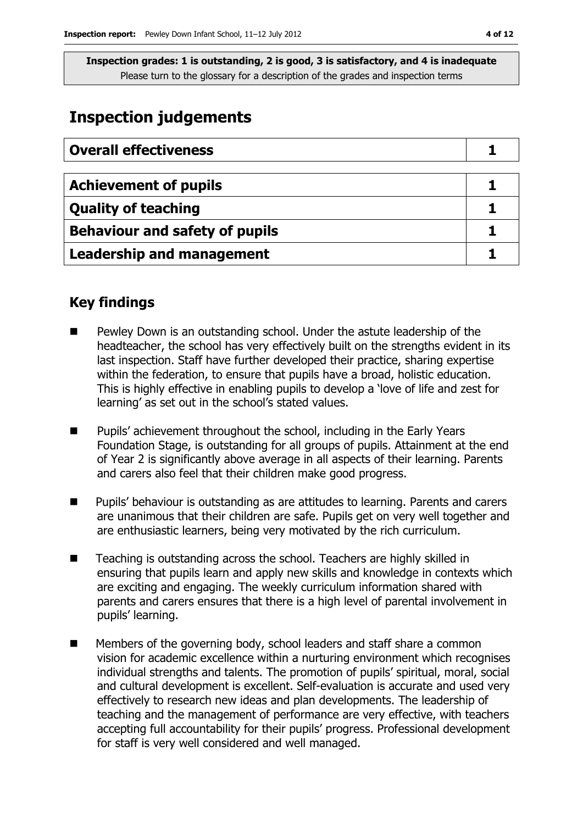### **Inspection judgements**

| <b>Overall effectiveness</b>          |  |
|---------------------------------------|--|
|                                       |  |
| <b>Achievement of pupils</b>          |  |
| <b>Quality of teaching</b>            |  |
| <b>Behaviour and safety of pupils</b> |  |
| <b>Leadership and management</b>      |  |

### **Key findings**

- Pewley Down is an outstanding school. Under the astute leadership of the headteacher, the school has very effectively built on the strengths evident in its last inspection. Staff have further developed their practice, sharing expertise within the federation, to ensure that pupils have a broad, holistic education. This is highly effective in enabling pupils to develop a 'love of life and zest for learning' as set out in the school's stated values.
- Pupils' achievement throughout the school, including in the Early Years Foundation Stage, is outstanding for all groups of pupils. Attainment at the end of Year 2 is significantly above average in all aspects of their learning. Parents and carers also feel that their children make good progress.
- Pupils' behaviour is outstanding as are attitudes to learning. Parents and carers are unanimous that their children are safe. Pupils get on very well together and are enthusiastic learners, being very motivated by the rich curriculum.
- Teaching is outstanding across the school. Teachers are highly skilled in ensuring that pupils learn and apply new skills and knowledge in contexts which are exciting and engaging. The weekly curriculum information shared with parents and carers ensures that there is a high level of parental involvement in pupils' learning.
- Members of the governing body, school leaders and staff share a common vision for academic excellence within a nurturing environment which recognises individual strengths and talents. The promotion of pupils' spiritual, moral, social and cultural development is excellent. Self-evaluation is accurate and used very effectively to research new ideas and plan developments. The leadership of teaching and the management of performance are very effective, with teachers accepting full accountability for their pupils' progress. Professional development for staff is very well considered and well managed.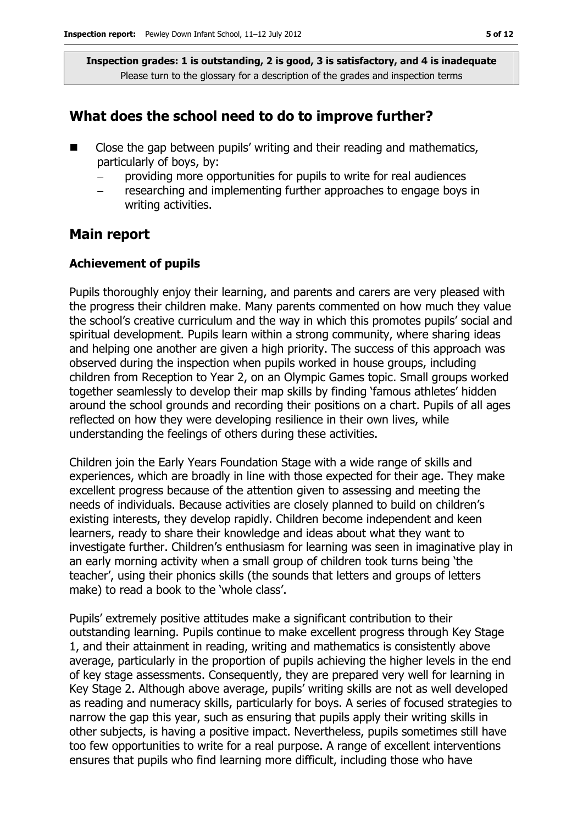### **What does the school need to do to improve further?**

- Close the gap between pupils' writing and their reading and mathematics, particularly of boys, by:
	- − providing more opportunities for pupils to write for real audiences
	- researching and implementing further approaches to engage boys in writing activities.

#### **Main report**

#### **Achievement of pupils**

Pupils thoroughly enjoy their learning, and parents and carers are very pleased with the progress their children make. Many parents commented on how much they value the school's creative curriculum and the way in which this promotes pupils' social and spiritual development. Pupils learn within a strong community, where sharing ideas and helping one another are given a high priority. The success of this approach was observed during the inspection when pupils worked in house groups, including children from Reception to Year 2, on an Olympic Games topic. Small groups worked together seamlessly to develop their map skills by finding 'famous athletes' hidden around the school grounds and recording their positions on a chart. Pupils of all ages reflected on how they were developing resilience in their own lives, while understanding the feelings of others during these activities.

Children join the Early Years Foundation Stage with a wide range of skills and experiences, which are broadly in line with those expected for their age. They make excellent progress because of the attention given to assessing and meeting the needs of individuals. Because activities are closely planned to build on children's existing interests, they develop rapidly. Children become independent and keen learners, ready to share their knowledge and ideas about what they want to investigate further. Children's enthusiasm for learning was seen in imaginative play in an early morning activity when a small group of children took turns being 'the teacher', using their phonics skills (the sounds that letters and groups of letters make) to read a book to the 'whole class'.

Pupils' extremely positive attitudes make a significant contribution to their outstanding learning. Pupils continue to make excellent progress through Key Stage 1, and their attainment in reading, writing and mathematics is consistently above average, particularly in the proportion of pupils achieving the higher levels in the end of key stage assessments. Consequently, they are prepared very well for learning in Key Stage 2. Although above average, pupils' writing skills are not as well developed as reading and numeracy skills, particularly for boys. A series of focused strategies to narrow the gap this year, such as ensuring that pupils apply their writing skills in other subjects, is having a positive impact. Nevertheless, pupils sometimes still have too few opportunities to write for a real purpose. A range of excellent interventions ensures that pupils who find learning more difficult, including those who have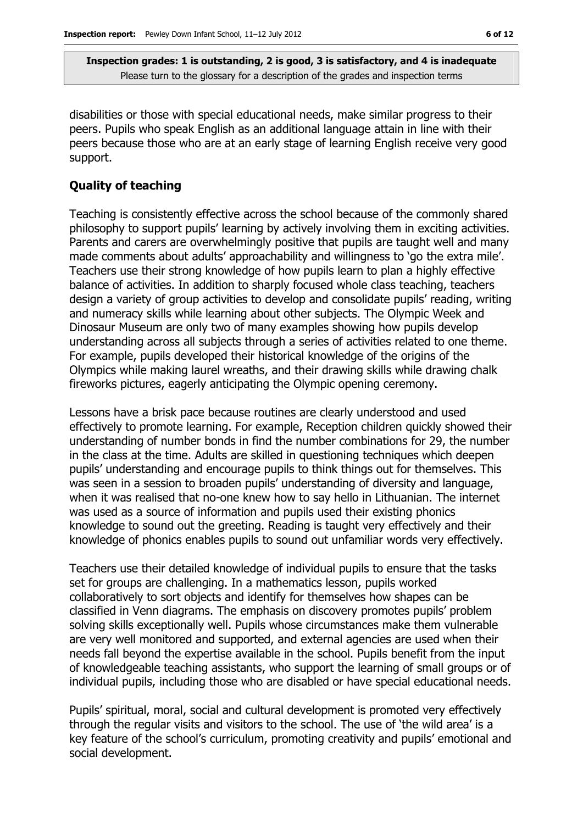disabilities or those with special educational needs, make similar progress to their peers. Pupils who speak English as an additional language attain in line with their peers because those who are at an early stage of learning English receive very good support.

#### **Quality of teaching**

Teaching is consistently effective across the school because of the commonly shared philosophy to support pupils' learning by actively involving them in exciting activities. Parents and carers are overwhelmingly positive that pupils are taught well and many made comments about adults' approachability and willingness to 'go the extra mile'. Teachers use their strong knowledge of how pupils learn to plan a highly effective balance of activities. In addition to sharply focused whole class teaching, teachers design a variety of group activities to develop and consolidate pupils' reading, writing and numeracy skills while learning about other subjects. The Olympic Week and Dinosaur Museum are only two of many examples showing how pupils develop understanding across all subjects through a series of activities related to one theme. For example, pupils developed their historical knowledge of the origins of the Olympics while making laurel wreaths, and their drawing skills while drawing chalk fireworks pictures, eagerly anticipating the Olympic opening ceremony.

Lessons have a brisk pace because routines are clearly understood and used effectively to promote learning. For example, Reception children quickly showed their understanding of number bonds in find the number combinations for 29, the number in the class at the time. Adults are skilled in questioning techniques which deepen pupils' understanding and encourage pupils to think things out for themselves. This was seen in a session to broaden pupils' understanding of diversity and language, when it was realised that no-one knew how to say hello in Lithuanian. The internet was used as a source of information and pupils used their existing phonics knowledge to sound out the greeting. Reading is taught very effectively and their knowledge of phonics enables pupils to sound out unfamiliar words very effectively.

Teachers use their detailed knowledge of individual pupils to ensure that the tasks set for groups are challenging. In a mathematics lesson, pupils worked collaboratively to sort objects and identify for themselves how shapes can be classified in Venn diagrams. The emphasis on discovery promotes pupils' problem solving skills exceptionally well. Pupils whose circumstances make them vulnerable are very well monitored and supported, and external agencies are used when their needs fall beyond the expertise available in the school. Pupils benefit from the input of knowledgeable teaching assistants, who support the learning of small groups or of individual pupils, including those who are disabled or have special educational needs.

Pupils' spiritual, moral, social and cultural development is promoted very effectively through the regular visits and visitors to the school. The use of 'the wild area' is a key feature of the school's curriculum, promoting creativity and pupils' emotional and social development.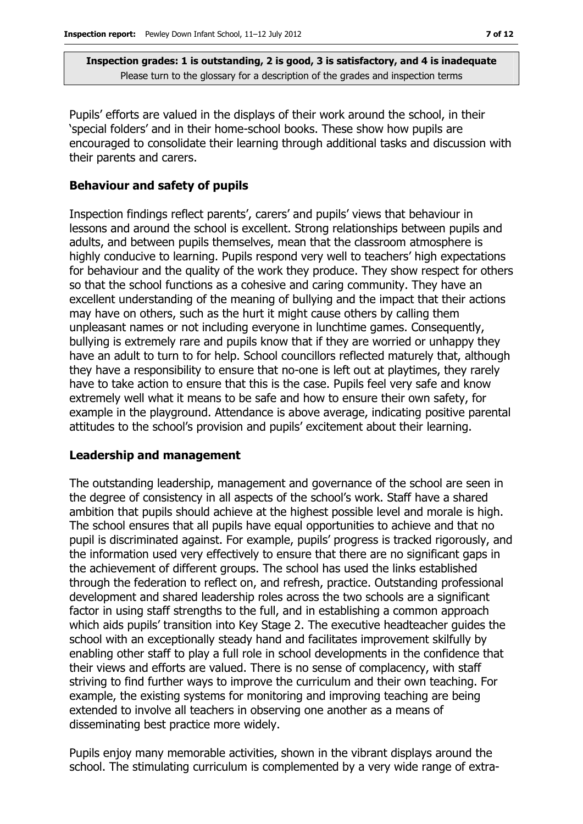Pupils' efforts are valued in the displays of their work around the school, in their 'special folders' and in their home-school books. These show how pupils are encouraged to consolidate their learning through additional tasks and discussion with their parents and carers.

#### **Behaviour and safety of pupils**

Inspection findings reflect parents', carers' and pupils' views that behaviour in lessons and around the school is excellent. Strong relationships between pupils and adults, and between pupils themselves, mean that the classroom atmosphere is highly conducive to learning. Pupils respond very well to teachers' high expectations for behaviour and the quality of the work they produce. They show respect for others so that the school functions as a cohesive and caring community. They have an excellent understanding of the meaning of bullying and the impact that their actions may have on others, such as the hurt it might cause others by calling them unpleasant names or not including everyone in lunchtime games. Consequently, bullying is extremely rare and pupils know that if they are worried or unhappy they have an adult to turn to for help. School councillors reflected maturely that, although they have a responsibility to ensure that no-one is left out at playtimes, they rarely have to take action to ensure that this is the case. Pupils feel very safe and know extremely well what it means to be safe and how to ensure their own safety, for example in the playground. Attendance is above average, indicating positive parental attitudes to the school's provision and pupils' excitement about their learning.

#### **Leadership and management**

The outstanding leadership, management and governance of the school are seen in the degree of consistency in all aspects of the school's work. Staff have a shared ambition that pupils should achieve at the highest possible level and morale is high. The school ensures that all pupils have equal opportunities to achieve and that no pupil is discriminated against. For example, pupils' progress is tracked rigorously, and the information used very effectively to ensure that there are no significant gaps in the achievement of different groups. The school has used the links established through the federation to reflect on, and refresh, practice. Outstanding professional development and shared leadership roles across the two schools are a significant factor in using staff strengths to the full, and in establishing a common approach which aids pupils' transition into Key Stage 2. The executive headteacher guides the school with an exceptionally steady hand and facilitates improvement skilfully by enabling other staff to play a full role in school developments in the confidence that their views and efforts are valued. There is no sense of complacency, with staff striving to find further ways to improve the curriculum and their own teaching. For example, the existing systems for monitoring and improving teaching are being extended to involve all teachers in observing one another as a means of disseminating best practice more widely.

Pupils enjoy many memorable activities, shown in the vibrant displays around the school. The stimulating curriculum is complemented by a very wide range of extra-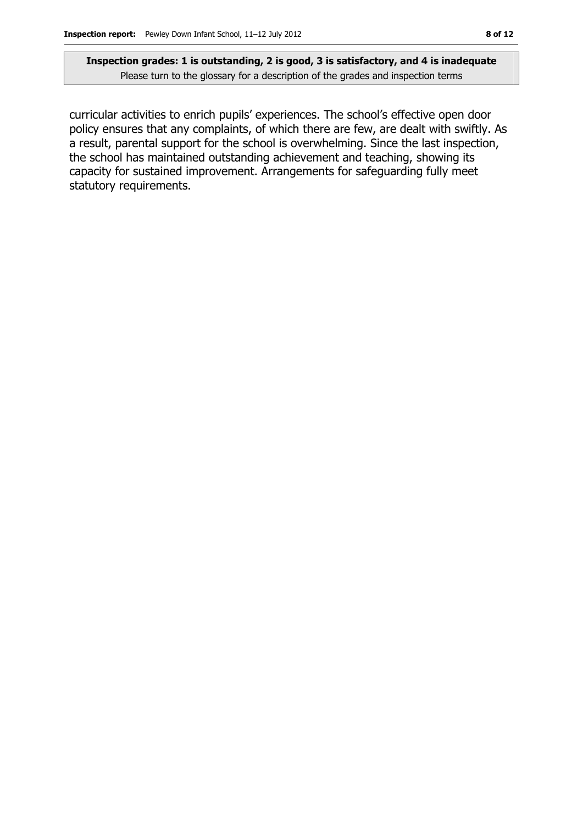curricular activities to enrich pupils' experiences. The school's effective open door policy ensures that any complaints, of which there are few, are dealt with swiftly. As a result, parental support for the school is overwhelming. Since the last inspection, the school has maintained outstanding achievement and teaching, showing its capacity for sustained improvement. Arrangements for safeguarding fully meet statutory requirements.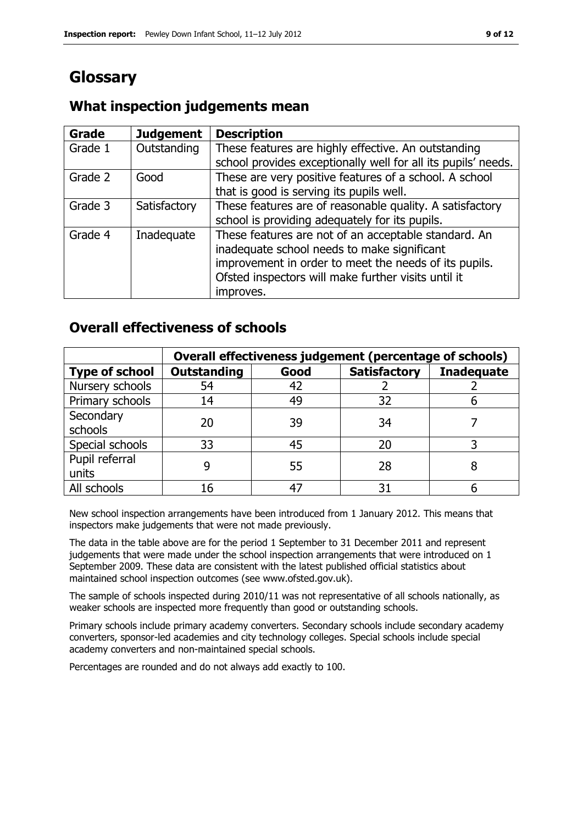# **Glossary**

#### **Grade Judgement Description**  Grade  $1$  | Outstanding | These features are highly effective. An outstanding school provides exceptionally well for all its pupils' needs. Grade 2 Good These are very positive features of a school. A school that is good is serving its pupils well. Grade 3  $\parallel$  Satisfactory  $\parallel$  These features are of reasonable quality. A satisfactory school is providing adequately for its pupils. Grade 4 | Inadequate | These features are not of an acceptable standard. An inadequate school needs to make significant improvement in order to meet the needs of its pupils. Ofsted inspectors will make further visits until it improves.

### **What inspection judgements mean**

### **Overall effectiveness of schools**

|                         | Overall effectiveness judgement (percentage of schools) |      |                     |                   |
|-------------------------|---------------------------------------------------------|------|---------------------|-------------------|
| <b>Type of school</b>   | <b>Outstanding</b>                                      | Good | <b>Satisfactory</b> | <b>Inadequate</b> |
| Nursery schools         | 54                                                      | 42   |                     |                   |
| Primary schools         | 14                                                      | 49   | 32                  |                   |
| Secondary<br>schools    | 20                                                      | 39   | 34                  |                   |
| Special schools         | 33                                                      | 45   | 20                  |                   |
| Pupil referral<br>units |                                                         | 55   | 28                  |                   |
| All schools             | 16                                                      | 47   | 31                  |                   |

New school inspection arrangements have been introduced from 1 January 2012. This means that inspectors make judgements that were not made previously.

The data in the table above are for the period 1 September to 31 December 2011 and represent judgements that were made under the school inspection arrangements that were introduced on 1 September 2009. These data are consistent with the latest published official statistics about maintained school inspection outcomes (see www.ofsted.gov.uk).

The sample of schools inspected during 2010/11 was not representative of all schools nationally, as weaker schools are inspected more frequently than good or outstanding schools.

Primary schools include primary academy converters. Secondary schools include secondary academy converters, sponsor-led academies and city technology colleges. Special schools include special academy converters and non-maintained special schools.

Percentages are rounded and do not always add exactly to 100.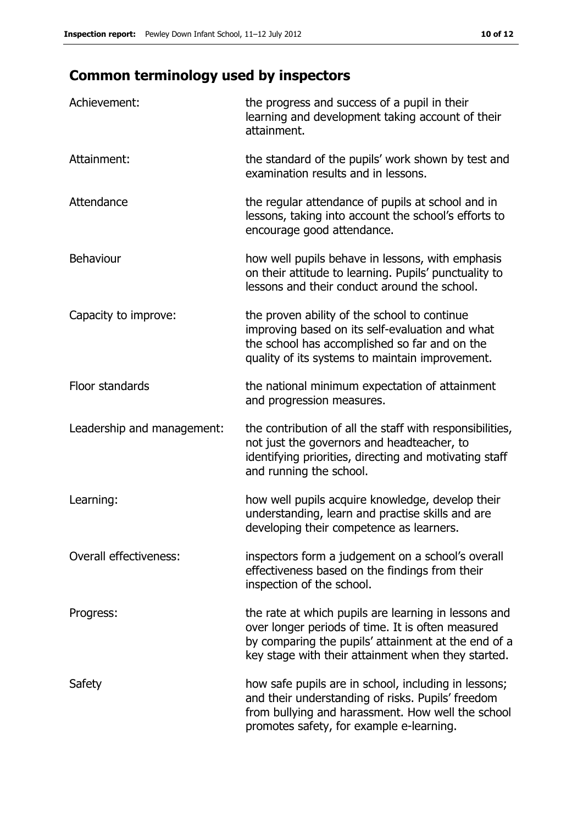# **Common terminology used by inspectors**

| Achievement:               | the progress and success of a pupil in their<br>learning and development taking account of their<br>attainment.                                                                                                        |
|----------------------------|------------------------------------------------------------------------------------------------------------------------------------------------------------------------------------------------------------------------|
| Attainment:                | the standard of the pupils' work shown by test and<br>examination results and in lessons.                                                                                                                              |
| Attendance                 | the regular attendance of pupils at school and in<br>lessons, taking into account the school's efforts to<br>encourage good attendance.                                                                                |
| Behaviour                  | how well pupils behave in lessons, with emphasis<br>on their attitude to learning. Pupils' punctuality to<br>lessons and their conduct around the school.                                                              |
| Capacity to improve:       | the proven ability of the school to continue<br>improving based on its self-evaluation and what<br>the school has accomplished so far and on the<br>quality of its systems to maintain improvement.                    |
| Floor standards            | the national minimum expectation of attainment<br>and progression measures.                                                                                                                                            |
| Leadership and management: | the contribution of all the staff with responsibilities,<br>not just the governors and headteacher, to<br>identifying priorities, directing and motivating staff<br>and running the school.                            |
| Learning:                  | how well pupils acquire knowledge, develop their<br>understanding, learn and practise skills and are<br>developing their competence as learners.                                                                       |
| Overall effectiveness:     | inspectors form a judgement on a school's overall<br>effectiveness based on the findings from their<br>inspection of the school.                                                                                       |
| Progress:                  | the rate at which pupils are learning in lessons and<br>over longer periods of time. It is often measured<br>by comparing the pupils' attainment at the end of a<br>key stage with their attainment when they started. |
| Safety                     | how safe pupils are in school, including in lessons;<br>and their understanding of risks. Pupils' freedom<br>from bullying and harassment. How well the school<br>promotes safety, for example e-learning.             |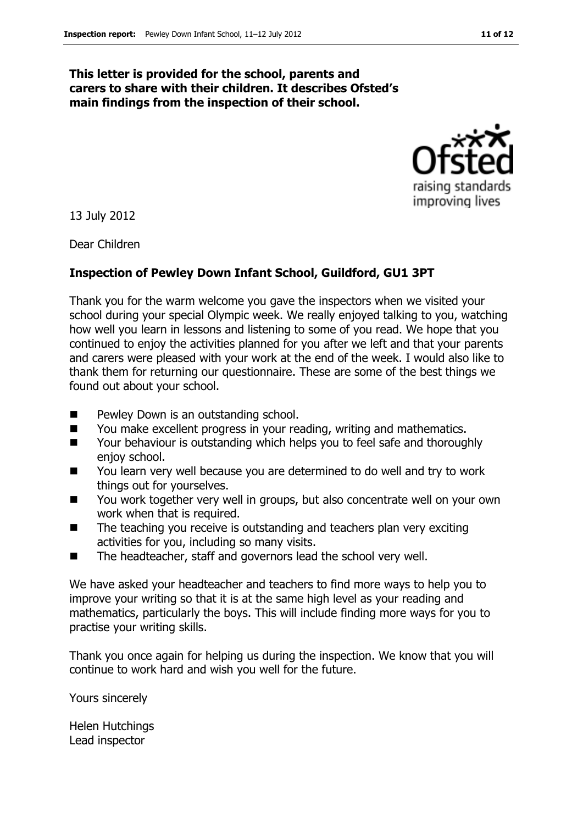#### **This letter is provided for the school, parents and carers to share with their children. It describes Ofsted's main findings from the inspection of their school.**



13 July 2012

Dear Children

#### **Inspection of Pewley Down Infant School, Guildford, GU1 3PT**

Thank you for the warm welcome you gave the inspectors when we visited your school during your special Olympic week. We really enjoyed talking to you, watching how well you learn in lessons and listening to some of you read. We hope that you continued to enjoy the activities planned for you after we left and that your parents and carers were pleased with your work at the end of the week. I would also like to thank them for returning our questionnaire. These are some of the best things we found out about your school.

- **Pewley Down is an outstanding school.**
- You make excellent progress in your reading, writing and mathematics.
- Your behaviour is outstanding which helps you to feel safe and thoroughly enjoy school.
- You learn very well because you are determined to do well and try to work things out for yourselves.
- You work together very well in groups, but also concentrate well on your own work when that is required.
- $\blacksquare$  The teaching you receive is outstanding and teachers plan very exciting activities for you, including so many visits.
- The headteacher, staff and governors lead the school very well.

We have asked your headteacher and teachers to find more ways to help you to improve your writing so that it is at the same high level as your reading and mathematics, particularly the boys. This will include finding more ways for you to practise your writing skills.

Thank you once again for helping us during the inspection. We know that you will continue to work hard and wish you well for the future.

Yours sincerely

Helen Hutchings Lead inspector